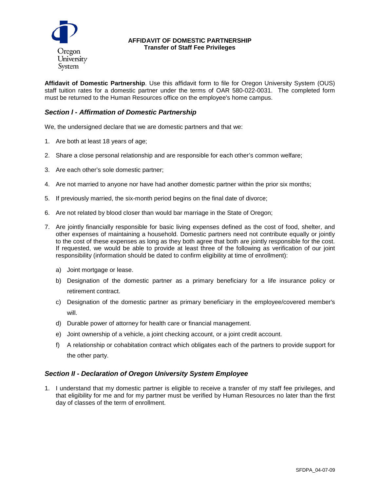

#### **AFFIDAVIT OF DOMESTIC PARTNERSHIP Transfer of Staff Fee Privileges**

**Affidavit of Domestic Partnership**. Use this affidavit form to file for Oregon University System (OUS) staff tuition rates for a domestic partner under the terms of OAR 580-022-0031. The completed form must be returned to the Human Resources office on the employee's home campus.

# *Section l - Affirmation of Domestic Partnership*

We, the undersigned declare that we are domestic partners and that we:

- 1. Are both at least 18 years of age;
- 2. Share a close personal relationship and are responsible for each other's common welfare;
- 3. Are each other's sole domestic partner;
- 4. Are not married to anyone nor have had another domestic partner within the prior six months;
- 5. If previously married, the six-month period begins on the final date of divorce;
- 6. Are not related by blood closer than would bar marriage in the State of Oregon;
- 7. Are jointly financially responsible for basic living expenses defined as the cost of food, shelter, and other expenses of maintaining a household. Domestic partners need not contribute equally or jointly to the cost of these expenses as long as they both agree that both are jointly responsible for the cost. If requested, we would be able to provide at least three of the following as verification of our joint responsibility (information should be dated to confirm eligibility at time of enrollment):
	- a) Joint mortgage or lease.
	- b) Designation of the domestic partner as a primary beneficiary for a life insurance policy or retirement contract.
	- c) Designation of the domestic partner as primary beneficiary in the employee/covered member's will.
	- d) Durable power of attorney for health care or financial management.
	- e) Joint ownership of a vehicle, a joint checking account, or a joint credit account.
	- f) A relationship or cohabitation contract which obligates each of the partners to provide support for the other party.

## *Section II - Declaration of Oregon University System Employee*

1. I understand that my domestic partner is eligible to receive a transfer of my staff fee privileges, and that eligibility for me and for my partner must be verified by Human Resources no later than the first day of classes of the term of enrollment.